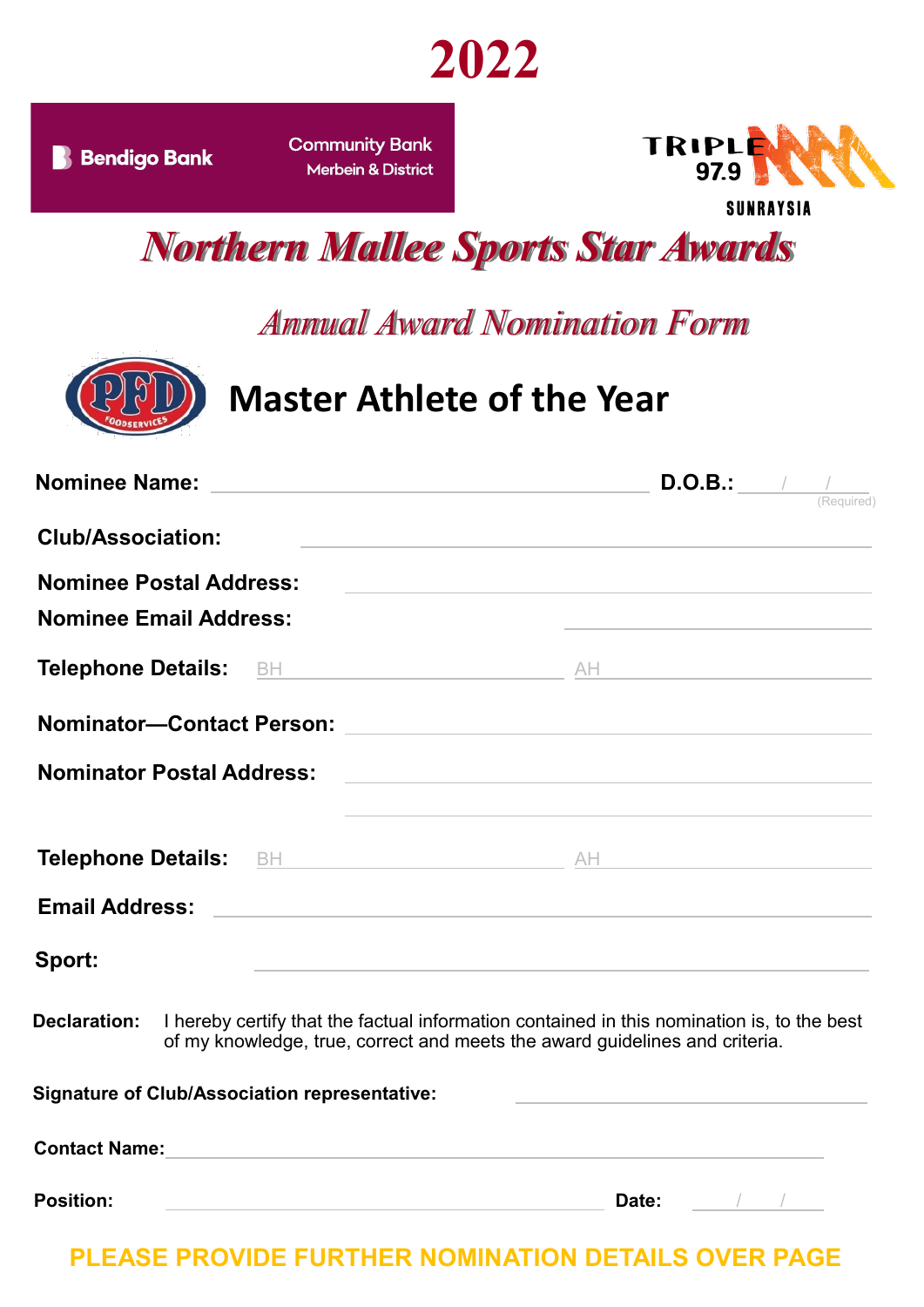

**Community Bank Merbein & District** 



*Northern Mallee Sports Star Awards*

## *Annual Award Nomination Form*



# **Master Athlete of the Year**

| Nominee Name: 2008 2010 2020 2021 2022 2023 2024 2022 2022 2023 2024 2022 2023 2024 2022 2023 2024 2022 2023 20 |                                                                                                                  |                                                                                                                      | (Required) |
|-----------------------------------------------------------------------------------------------------------------|------------------------------------------------------------------------------------------------------------------|----------------------------------------------------------------------------------------------------------------------|------------|
| <b>Club/Association:</b>                                                                                        |                                                                                                                  |                                                                                                                      |            |
| <b>Nominee Postal Address:</b><br><b>Nominee Email Address:</b>                                                 | <u> 1980 - Andrea Station Barbara, amerikan personal (h. 1980).</u>                                              | <u> Alexandria de la contrada de la contrada de la contrada de la contrada de la contrada de la contrada de la c</u> |            |
|                                                                                                                 |                                                                                                                  |                                                                                                                      |            |
|                                                                                                                 |                                                                                                                  |                                                                                                                      |            |
| <b>Nominator Postal Address:</b>                                                                                |                                                                                                                  |                                                                                                                      |            |
|                                                                                                                 | and the control of the control of the control of the control of the control of the control of the control of the |                                                                                                                      |            |
| <b>Email Address:</b>                                                                                           |                                                                                                                  |                                                                                                                      |            |
| Sport:                                                                                                          | the control of the control of the control of the control of the control of                                       |                                                                                                                      |            |
| <b>Declaration:</b> I hereby certify that the factual information contained in this nomination is, to the best  | of my knowledge, true, correct and meets the award guidelines and criteria.                                      |                                                                                                                      |            |

| <b>Signature of Club/Association representative:</b> |       |  |
|------------------------------------------------------|-------|--|
| <b>Contact Name:</b>                                 |       |  |
| <b>Position:</b>                                     | Date: |  |

**PLEASE PROVIDE FURTHER NOMINATION DETAILS OVER PAGE**